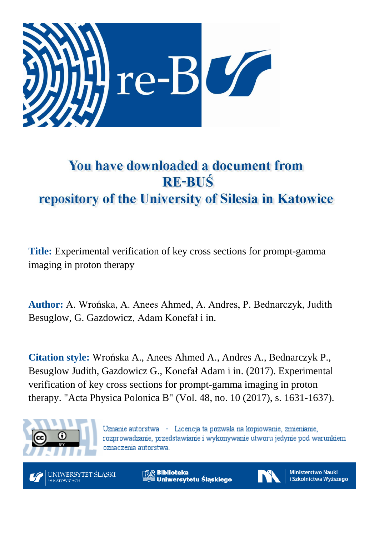

# You have downloaded a document from **RE-BUŚ** repository of the University of Silesia in Katowice

**Title:** Experimental verification of key cross sections for prompt-gamma imaging in proton therapy

**Author:** A. Wrońska, A. Anees Ahmed, A. Andres, P. Bednarczyk, Judith Besuglow, G. Gazdowicz, Adam Konefał i in.

**Citation style:** Wrońska A., Anees Ahmed A., Andres A., Bednarczyk P., Besuglow Judith, Gazdowicz G., Konefał Adam i in. (2017). Experimental verification of key cross sections for prompt-gamma imaging in proton therapy. "Acta Physica Polonica B" (Vol. 48, no. 10 (2017), s. 1631-1637).



Uznanie autorstwa - Licencja ta pozwala na kopiowanie, zmienianie, rozprowadzanie, przedstawianie i wykonywanie utworu jedynie pod warunkiem oznaczenia autorstwa.



**Biblioteka** Uniwersytetu Śląskiego



**Ministerstwo Nauki** i Szkolnictwa Wyższego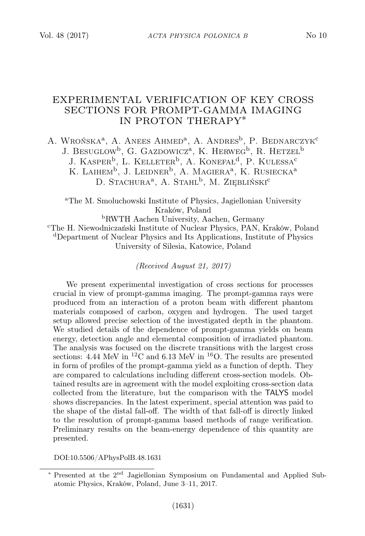## EXPERIMENTAL VERIFICATION OF KEY CROSS SECTIONS FOR PROMPT-GAMMA IMAGING IN PROTON THERAPY∗

A. Wrońska<sup>a</sup>, A. Anees Ahmed<sup>a</sup>, A. Andres<sup>b</sup>, P. Bednarczyk<sup>c</sup> J. Besuglow<sup>b</sup>, G. Gazdowicz<sup>a</sup>, K. Herweg<sup>b</sup>, R. Hetzel<sup>b</sup> J. KASPER<sup>b</sup>, L. KELLETER<sup>b</sup>, A. KONEFAŁ<sup>d</sup>, P. KULESSA<sup>c</sup> K. LAIHEM<sup>b</sup>, J. LEIDNER<sup>b</sup>, A. MAGIERA<sup>a</sup>, K. RUSIECKA<sup>a</sup> D. Stachura<sup>a</sup>, A. Stahl<sup>b</sup>, M. Ziebliński<sup>c</sup>

<sup>a</sup>The M. Smoluchowski Institute of Physics, Jagiellonian University Kraków, Poland

<sup>b</sup>RWTH Aachen University, Aachen, Germany <sup>c</sup>The H. Niewodniczański Institute of Nuclear Physics, PAN, Kraków, Poland <sup>d</sup>Department of Nuclear Physics and Its Applications, Institute of Physics University of Silesia, Katowice, Poland

(Received August 21, 2017)

We present experimental investigation of cross sections for processes crucial in view of prompt-gamma imaging. The prompt-gamma rays were produced from an interaction of a proton beam with different phantom materials composed of carbon, oxygen and hydrogen. The used target setup allowed precise selection of the investigated depth in the phantom. We studied details of the dependence of prompt-gamma yields on beam energy, detection angle and elemental composition of irradiated phantom. The analysis was focused on the discrete transitions with the largest cross sections: 4.44 MeV in  ${}^{12}$ C and 6.13 MeV in  ${}^{16}$ O. The results are presented in form of profiles of the prompt-gamma yield as a function of depth. They are compared to calculations including different cross-section models. Obtained results are in agreement with the model exploiting cross-section data collected from the literature, but the comparison with the TALYS model shows discrepancies. In the latest experiment, special attention was paid to the shape of the distal fall-off. The width of that fall-off is directly linked to the resolution of prompt-gamma based methods of range verification. Preliminary results on the beam-energy dependence of this quantity are presented.

DOI:10.5506/APhysPolB.48.1631

<sup>\*</sup> Presented at the 2<sup>nd</sup> Jagiellonian Symposium on Fundamental and Applied Subatomic Physics, Kraków, Poland, June 3–11, 2017.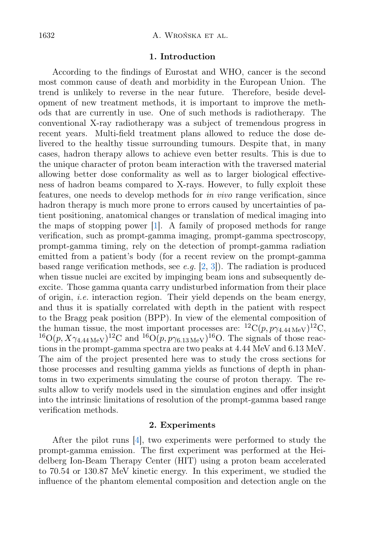## 1. Introduction

According to the findings of Eurostat and WHO, cancer is the second most common cause of death and morbidity in the European Union. The trend is unlikely to reverse in the near future. Therefore, beside development of new treatment methods, it is important to improve the methods that are currently in use. One of such methods is radiotherapy. The conventional X-ray radiotherapy was a subject of tremendous progress in recent years. Multi-field treatment plans allowed to reduce the dose delivered to the healthy tissue surrounding tumours. Despite that, in many cases, hadron therapy allows to achieve even better results. This is due to the unique character of proton beam interaction with the traversed material allowing better dose conformality as well as to larger biological effectiveness of hadron beams compared to X-rays. However, to fully exploit these features, one needs to develop methods for in vivo range verification, since hadron therapy is much more prone to errors caused by uncertainties of patient positioning, anatomical changes or translation of medical imaging into the maps of stopping power [\[1\]](#page-7-0). A family of proposed methods for range verification, such as prompt-gamma imaging, prompt-gamma spectroscopy, prompt-gamma timing, rely on the detection of prompt-gamma radiation emitted from a patient's body (for a recent review on the prompt-gamma based range verification methods, see e.g.  $[2, 3]$  $[2, 3]$  $[2, 3]$ . The radiation is produced when tissue nuclei are excited by impinging beam ions and subsequently deexcite. Those gamma quanta carry undisturbed information from their place of origin, *i.e.* interaction region. Their yield depends on the beam energy, and thus it is spatially correlated with depth in the patient with respect to the Bragg peak position (BPP). In view of the elemental composition of the human tissue, the most important processes are:  ${}^{12}C(p, p\gamma_{4.44 \text{ MeV}})^{12}C$ ,  $^{16}O(p, X\gamma_{4.44\,\text{MeV}})^{12}C$  and  $^{16}O(p, p\gamma_{6.13\,\text{MeV}})^{16}O$ . The signals of those reactions in the prompt-gamma spectra are two peaks at 4.44 MeV and 6.13 MeV. The aim of the project presented here was to study the cross sections for those processes and resulting gamma yields as functions of depth in phantoms in two experiments simulating the course of proton therapy. The results allow to verify models used in the simulation engines and offer insight into the intrinsic limitations of resolution of the prompt-gamma based range verification methods.

## 2. Experiments

After the pilot runs [\[4\]](#page-7-3), two experiments were performed to study the prompt-gamma emission. The first experiment was performed at the Heidelberg Ion-Beam Therapy Center (HIT) using a proton beam accelerated to 70.54 or 130.87 MeV kinetic energy. In this experiment, we studied the influence of the phantom elemental composition and detection angle on the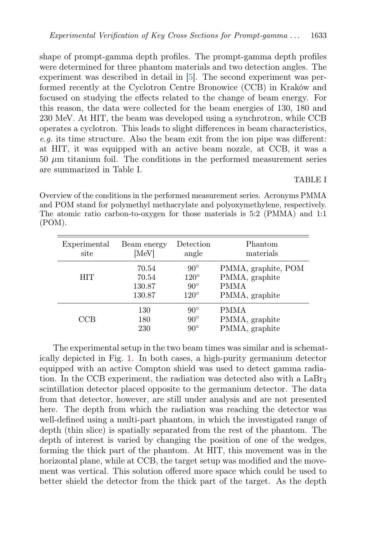shape of prompt-gamma depth profiles. The prompt-gamma depth profiles were determined for three phantom materials and two detection angles. The experiment was described in detail in [\[5\]](#page-7-4). The second experiment was performed recently at the Cyclotron Centre Bronowice (CCB) in Kraków and focused on studying the effects related to the change of beam energy. For this reason, the data were collected for the beam energies of 130, 180 and 230 MeV. At HIT, the beam was developed using a synchrotron, while CCB operates a cyclotron. This leads to slight differences in beam characteristics, e.g. its time structure. Also the beam exit from the ion pipe was different: at HIT, it was equipped with an active beam nozzle, at CCB, it was a  $50 \mu m$  titanium foil. The conditions in the performed measurement series are summarized in Table I.

## TABLE I

Overview of the conditions in the performed measurement series. Acronyms PMMA and POM stand for polymethyl methacrylate and polyoxymethylene, respectively. The atomic ratio carbon-to-oxygen for those materials is 5:2 (PMMA) and 1:1 (POM).

| Experimental | Beam energy | Detection    | Phantom             |
|--------------|-------------|--------------|---------------------|
| site         | [MeV]       | angle        | materials           |
| <b>HIT</b>   | 70.54       | $90^{\circ}$ | PMMA, graphite, POM |
|              | 70.54       | $120^\circ$  | PMMA, graphite      |
|              | 130.87      | $90^\circ$   | <b>PMMA</b>         |
|              | 130.87      | $120^\circ$  | PMMA, graphite      |
| CCB          | 130         | $90^{\circ}$ | PMMA                |
|              | 180         | $90^{\circ}$ | PMMA, graphite      |
|              | 230         | $90^{\circ}$ | PMMA, graphite      |

The experimental setup in the two beam times was similar and is schematically depicted in Fig. [1.](#page-4-0) In both cases, a high-purity germanium detector equipped with an active Compton shield was used to detect gamma radiation. In the CCB experiment, the radiation was detected also with a LaBr<sup>3</sup> scintillation detector placed opposite to the germanium detector. The data from that detector, however, are still under analysis and are not presented here. The depth from which the radiation was reaching the detector was well-defined using a multi-part phantom, in which the investigated range of depth (thin slice) is spatially separated from the rest of the phantom. The depth of interest is varied by changing the position of one of the wedges, forming the thick part of the phantom. At HIT, this movement was in the horizontal plane, while at CCB, the target setup was modified and the movement was vertical. This solution offered more space which could be used to better shield the detector from the thick part of the target. As the depth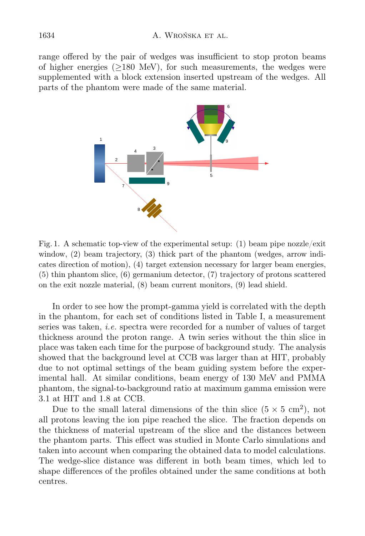range offered by the pair of wedges was insufficient to stop proton beams of higher energies  $(>180 \text{ MeV})$ , for such measurements, the wedges were supplemented with a block extension inserted upstream of the wedges. All parts of the phantom were made of the same material.



<span id="page-4-0"></span>Fig. 1. A schematic top-view of the experimental setup: (1) beam pipe nozzle/exit window, (2) beam trajectory, (3) thick part of the phantom (wedges, arrow indicates direction of motion), (4) target extension necessary for larger beam energies, (5) thin phantom slice, (6) germanium detector, (7) trajectory of protons scattered on the exit nozzle material, (8) beam current monitors, (9) lead shield.

In order to see how the prompt-gamma yield is correlated with the depth in the phantom, for each set of conditions listed in Table I, a measurement series was taken, i.e. spectra were recorded for a number of values of target thickness around the proton range. A twin series without the thin slice in place was taken each time for the purpose of background study. The analysis showed that the background level at CCB was larger than at HIT, probably due to not optimal settings of the beam guiding system before the experimental hall. At similar conditions, beam energy of 130 MeV and PMMA phantom, the signal-to-background ratio at maximum gamma emission were 3.1 at HIT and 1.8 at CCB.

Due to the small lateral dimensions of the thin slice  $(5 \times 5 \text{ cm}^2)$ , not all protons leaving the ion pipe reached the slice. The fraction depends on the thickness of material upstream of the slice and the distances between the phantom parts. This effect was studied in Monte Carlo simulations and taken into account when comparing the obtained data to model calculations. The wedge-slice distance was different in both beam times, which led to shape differences of the profiles obtained under the same conditions at both centres.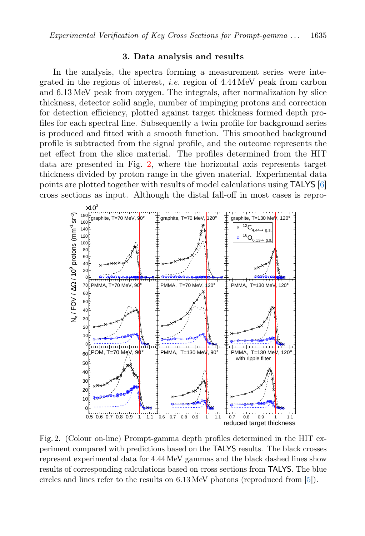## 3. Data analysis and results

In the analysis, the spectra forming a measurement series were integrated in the regions of interest, *i.e.* region of  $4.44 \text{ MeV}$  peak from carbon and 6.13 MeV peak from oxygen. The integrals, after normalization by slice thickness, detector solid angle, number of impinging protons and correction for detection efficiency, plotted against target thickness formed depth profiles for each spectral line. Subsequently a twin profile for background series is produced and fitted with a smooth function. This smoothed background profile is subtracted from the signal profile, and the outcome represents the net effect from the slice material. The profiles determined from the HIT data are presented in Fig. [2,](#page-5-0) where the horizontal axis represents target thickness divided by proton range in the given material. Experimental data points are plotted together with results of model calculations using TALYS [\[6\]](#page-7-5) cross sections as input. Although the distal fall-off in most cases is repro-



<span id="page-5-0"></span>Fig. 2. (Colour on-line) Prompt-gamma depth profiles determined in the HIT experiment compared with predictions based on the TALYS results. The black crosses represent experimental data for 4.44 MeV gammas and the black dashed lines show results of corresponding calculations based on cross sections from TALYS. The blue circles and lines refer to the results on 6.13 MeV photons (reproduced from [\[5\]](#page-7-4)).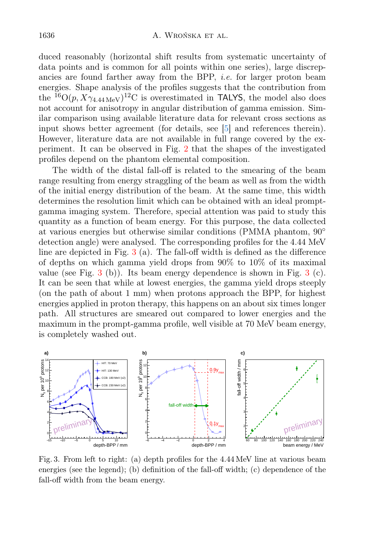duced reasonably (horizontal shift results from systematic uncertainty of data points and is common for all points within one series), large discrepancies are found farther away from the BPP, *i.e.* for larger proton beam energies. Shape analysis of the profiles suggests that the contribution from the <sup>16</sup>O( $p, X\gamma_{4.44 \text{ MeV}}$ )<sup>12</sup>C is overestimated in TALYS, the model also does not account for anisotropy in angular distribution of gamma emission. Similar comparison using available literature data for relevant cross sections as input shows better agreement (for details, see [\[5\]](#page-7-4) and references therein). However, literature data are not available in full range covered by the experiment. It can be observed in Fig. [2](#page-5-0) that the shapes of the investigated profiles depend on the phantom elemental composition.

The width of the distal fall-off is related to the smearing of the beam range resulting from energy straggling of the beam as well as from the width of the initial energy distribution of the beam. At the same time, this width determines the resolution limit which can be obtained with an ideal promptgamma imaging system. Therefore, special attention was paid to study this quantity as a function of beam energy. For this purpose, the data collected at various energies but otherwise similar conditions (PMMA phantom, 90◦ detection angle) were analysed. The corresponding profiles for the 4.44 MeV line are depicted in Fig.  $3$  (a). The fall-off width is defined as the difference of depths on which gamma yield drops from 90% to 10% of its maximal value (see Fig.  $3$  (b)). Its beam energy dependence is shown in Fig.  $3$  (c). It can be seen that while at lowest energies, the gamma yield drops steeply (on the path of about 1 mm) when protons approach the BPP, for highest energies applied in proton therapy, this happens on an about six times longer path. All structures are smeared out compared to lower energies and the maximum in the prompt-gamma profile, well visible at 70 MeV beam energy, is completely washed out.



<span id="page-6-0"></span>Fig. 3. From left to right: (a) depth profiles for the 4.44 MeV line at various beam energies (see the legend); (b) definition of the fall-off width; (c) dependence of the fall-off width from the beam energy.